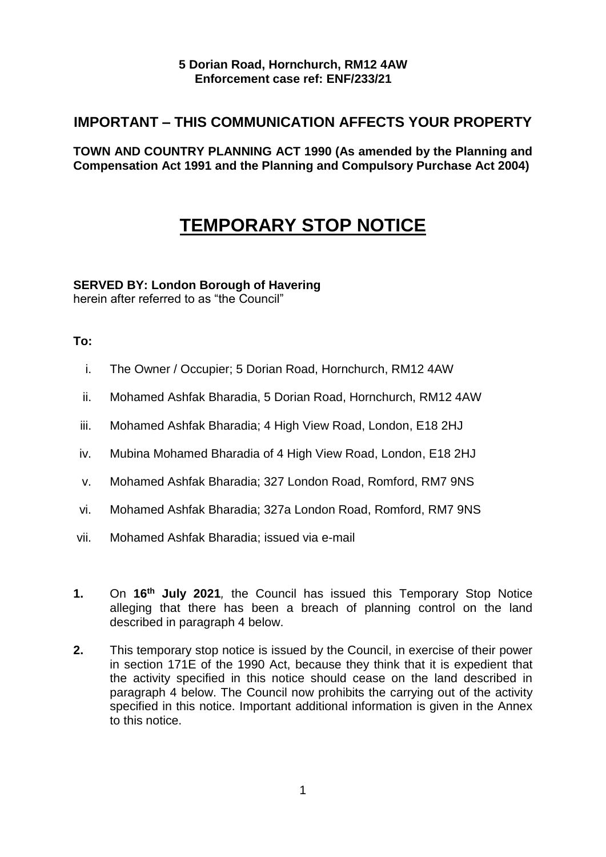### **5 Dorian Road, Hornchurch, RM12 4AW Enforcement case ref: ENF/233/21**

# **IMPORTANT – THIS COMMUNICATION AFFECTS YOUR PROPERTY**

 **TOWN AND COUNTRY PLANNING ACT 1990 (As amended by the Planning and Compensation Act 1991 and the Planning and Compulsory Purchase Act 2004)** 

# **TEMPORARY STOP NOTICE**

## **SERVED BY: London Borough of Havering**

herein after referred to as "the Council"

## **To:**

- i. The Owner / Occupier; 5 Dorian Road, Hornchurch, RM12 4AW
- ii. Mohamed Ashfak Bharadia, 5 Dorian Road, Hornchurch, RM12 4AW
- iii. Mohamed Ashfak Bharadia; 4 High View Road, London, E18 2HJ
- iv. Mubina Mohamed Bharadia of 4 High View Road, London, E18 2HJ
- v. Mohamed Ashfak Bharadia; 327 London Road, Romford, RM7 9NS
- vi. Mohamed Ashfak Bharadia; 327a London Road, Romford, RM7 9NS
- vii. Mohamed Ashfak Bharadia; issued via e-mail
- **1.** On **16<sup>th</sup> July 2021**, the Council has issued this Temporary Stop Notice alleging that there has been a breach of planning control on the land described in paragraph 4 below.
- **2.** This temporary stop notice is issued by the Council, in exercise of their power in section 171E of the 1990 Act, because they think that it is expedient that the activity specified in this notice should cease on the land described in paragraph 4 below. The Council now prohibits the carrying out of the activity specified in this notice. Important additional information is given in the Annex to this notice.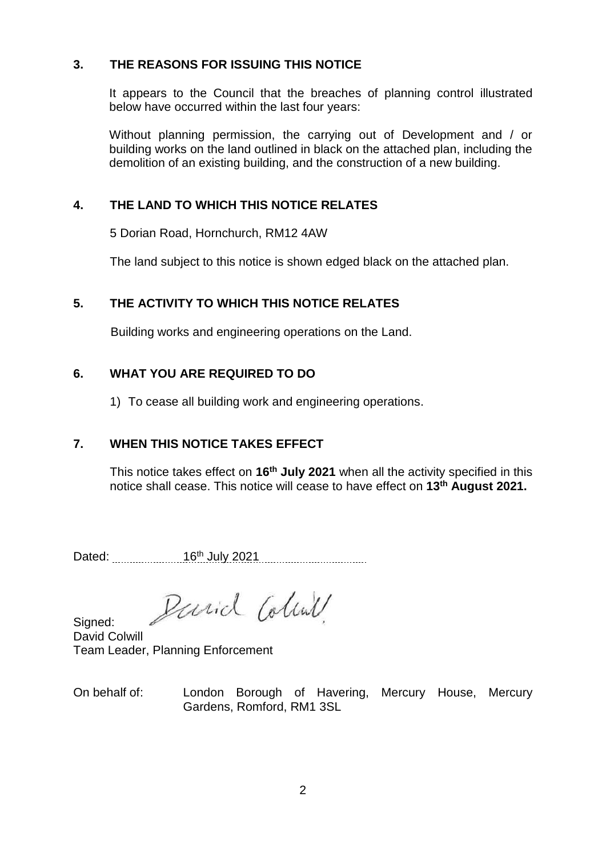## **3. THE REASONS FOR ISSUING THIS NOTICE**

 It appears to the Council that the breaches of planning control illustrated below have occurred within the last four years:

 Without planning permission, the carrying out of Development and / or building works on the land outlined in black on the attached plan, including the demolition of an existing building, and the construction of a new building.

## **4. THE LAND TO WHICH THIS NOTICE RELATES**

5 Dorian Road, Hornchurch, RM12 4AW

The land subject to this notice is shown edged black on the attached plan.

# **5. THE ACTIVITY TO WHICH THIS NOTICE RELATES**

Building works and engineering operations on the Land.

## **6. WHAT YOU ARE REQUIRED TO DO**

1) To cease all building work and engineering operations.

# **7. WHEN THIS NOTICE TAKES EFFECT**

 This notice takes effect on **16th July 2021** when all the activity specified in this notice shall cease. This notice will cease to have effect on **13th August 2021.** 

Dated: 26th July 2021 2021

Parid Coline

Sianed: David Colwill Team Leader, Planning Enforcement

 On behalf of: London Borough of Havering, Mercury House, Mercury Gardens, Romford, RM1 3SL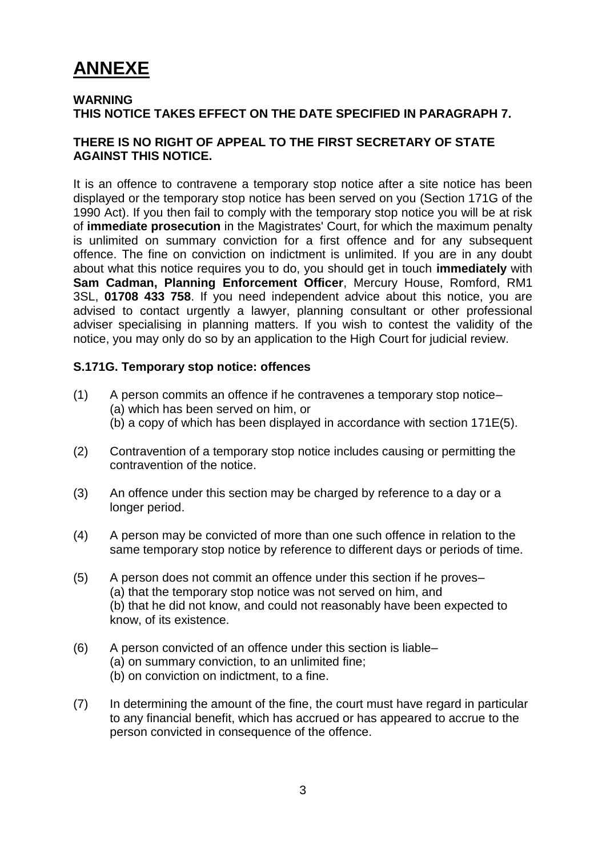# **ANNEXE**

#### **WARNING THIS NOTICE TAKES EFFECT ON THE DATE SPECIFIED IN PARAGRAPH 7.**

### **THERE IS NO RIGHT OF APPEAL TO THE FIRST SECRETARY OF STATE AGAINST THIS NOTICE.**

 It is an offence to contravene a temporary stop notice after a site notice has been displayed or the temporary stop notice has been served on you (Section 171G of the 1990 Act). If you then fail to comply with the temporary stop notice you will be at risk of **immediate prosecution** in the Magistrates' Court, for which the maximum penalty is unlimited on summary conviction for a first offence and for any subsequent offence. The fine on conviction on indictment is unlimited. If you are in any doubt about what this notice requires you to do, you should get in touch **immediately** with **Sam Cadman, Planning Enforcement Officer**, Mercury House, Romford, RM1 3SL, **01708 433 758**. If you need independent advice about this notice, you are advised to contact urgently a lawyer, planning consultant or other professional adviser specialising in planning matters. If you wish to contest the validity of the notice, you may only do so by an application to the High Court for judicial review.

#### **S.171G. Temporary stop notice: offences**

- (1) A person commits an offence if he contravenes a temporary stop notice– (a) which has been served on him, or (b) a copy of which has been displayed in accordance with section 171E(5).
- (2) Contravention of a temporary stop notice includes causing or permitting the contravention of the notice.
- (3) An offence under this section may be charged by reference to a day or a longer period.
- (4) A person may be convicted of more than one such offence in relation to the same temporary stop notice by reference to different days or periods of time.
- (5) A person does not commit an offence under this section if he proves– (a) that the temporary stop notice was not served on him, and (b) that he did not know, and could not reasonably have been expected to know, of its existence.
- (6) A person convicted of an offence under this section is liable– (b) on conviction on indictment, to a fine. (a) on summary conviction, to an unlimited fine;
- to any financial benefit, which has accrued or has appeared to accrue to the (7) In determining the amount of the fine, the court must have regard in particular person convicted in consequence of the offence.